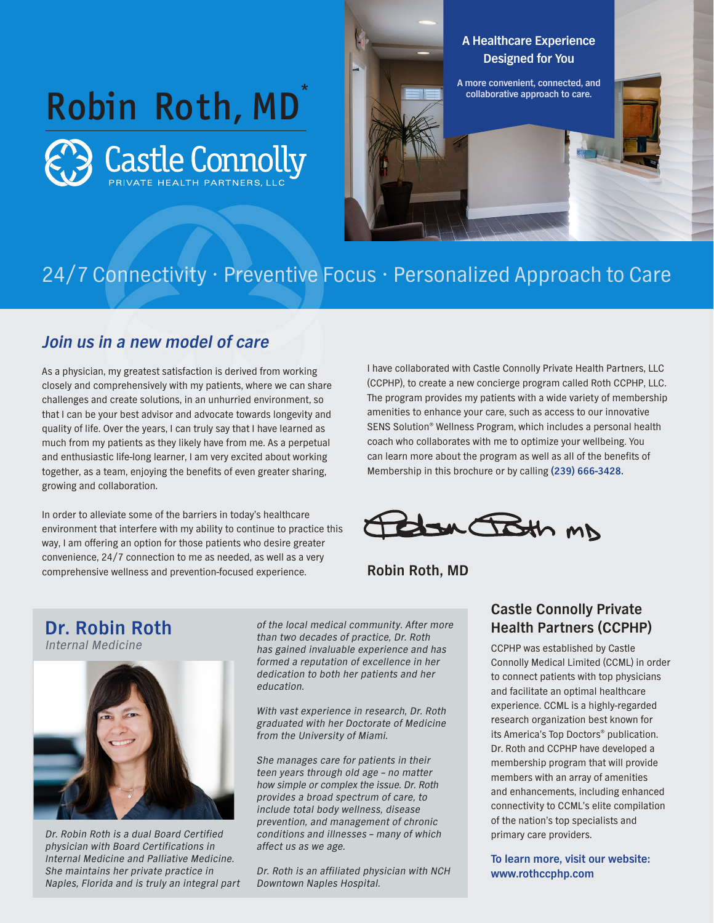# Robin Roth, MD<sup>\*</sup> **Castle Connolly**

**A Healthcare Experience Designed for You**

**A more convenient, connected, and collaborative approach to care.**

## 24/7 Connectivity • Preventive Focus • Personalized Approach to Care

#### **Join us in a new model of care**

As a physician, my greatest satisfaction is derived from working closely and comprehensively with my patients, where we can share challenges and create solutions, in an unhurried environment, so that I can be your best advisor and advocate towards longevity and quality of life. Over the years, I can truly say that I have learned as much from my patients as they likely have from me. As a perpetual and enthusiastic life-long learner, I am very excited about working together, as a team, enjoying the benefits of even greater sharing, growing and collaboration.

In order to alleviate some of the barriers in today's healthcare environment that interfere with my ability to continue to practice this way, I am offering an option for those patients who desire greater convenience, 24/7 connection to me as needed, as well as a very comprehensive wellness and prevention-focused experience.

I have collaborated with Castle Connolly Private Health Partners, LLC (CCPHP), to create a new concierge program called Roth CCPHP, LLC. The program provides my patients with a wide variety of membership amenities to enhance your care, such as access to our innovative SENS Solution® Wellness Program, which includes a personal health coach who collaborates with me to optimize your wellbeing. You can learn more about the program as well as all of the benefits of Membership in this brochure or by calling **(239) 666-3428.**



**Robin Roth, MD**

**Dr. Robin Roth** Internal Medicine



Dr. Robin Roth is a dual Board Certified physician with Board Certifications in Internal Medicine and Palliative Medicine. She maintains her private practice in Naples, Florida and is truly an integral part of the local medical community. After more than two decades of practice, Dr. Roth has gained invaluable experience and has formed a reputation of excellence in her dedication to both her patients and her education.

With vast experience in research, Dr. Roth graduated with her Doctorate of Medicine from the University of Miami.

She manages care for patients in their teen years through old age – no matter how simple or complex the issue. Dr. Roth provides a broad spectrum of care, to include total body wellness, disease prevention, and management of chronic conditions and illnesses – many of which affect us as we age.

Dr. Roth is an affiliated physician with NCH Downtown Naples Hospital.

#### **Castle Connolly Private Health Partners (CCPHP)**

CCPHP was established by Castle Connolly Medical Limited (CCML) in order to connect patients with top physicians and facilitate an optimal healthcare experience. CCML is a highly-regarded research organization best known for its America's Top Doctors® publication. Dr. Roth and CCPHP have developed a membership program that will provide members with an array of amenities and enhancements, including enhanced connectivity to CCML's elite compilation of the nation's top specialists and primary care providers.

**To learn more, visit our website: www.rothccphp.com**